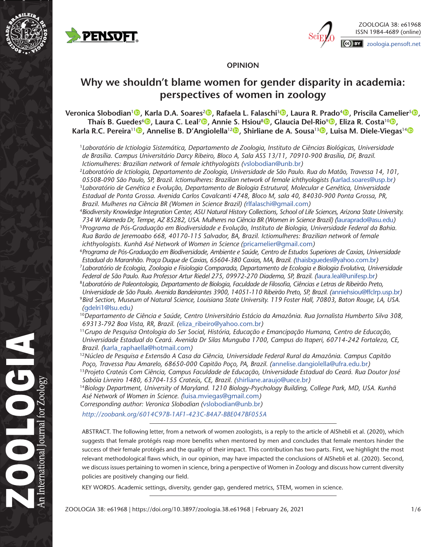



## **OPINION**

# **Why we shouldn't blame women for gender disparity in academia: perspectives of women in zoology**

**Veronica Slobodian<sup>1</sup> <b>[,](https://orcid.org/0000-0002-1228-0076)** Karla D.A. Soares<sup>2 **,** Rafaela L. Falaschi<sup>3 **(b)** Laura R. Prado<sup>4 (b</sup>), Priscila Camelier<sup>s (b</sup>),</sup></sup> **Thaís B. Guedes**<sup>6</sup> **[,](https://orcid.org/0000-0003-3318-7193) Laura C. Leal**<sup>7</sup> **[,](https://orcid.org/0000-0003-1570-8901) Annie S. Hsiou**<sup>8</sup> **[,](https://orcid.org/0000-0003-2392-6191) Glaucia Del-Rio**<sup>9</sup> **[,](https://orcid.org/0000-0001-7212-8474) Eliza R. Costa**<sup>10</sup> **[,](https://orcid.org/0000-0002-1760-1756) Karla R.C. Pereira**<sup>11</sup> **[,](https://orcid.org/0000-0001-7507-4627) Annelise B. D'Angiolella**<sup>12</sup> **[,](https://orcid.org/0000-0002-4529-524X) Shirliane de A. Sousa**<sup>13</sup> **[,](https://orcid.org/0000-0001-7230-6859) Luisa M. Diele-Viegas**1[4](https://orcid.org/0000-0002-9225-4678)

<sup>1</sup>*Laboratório de Ictiologia Sistemática, Departamento de Zoologia, Instituto de Ciências Biológicas, Universidade de Brasília. Campus Universitário Darcy Ribeiro, Bloco A, Sala ASS 13/11, 70910-900 Brasília, DF, Brazil. Ictiomulheres: Brazilian network of female ichthyologists (*[vslobodian@unb.br](mailto:vslobodian@unb.br)*)*

2 *Laboratório de Ictiologia, Departamento de Zoologia, Universidade de São Paulo. Rua do Matão, Travessa 14, 101, 05508-090 São Paulo, SP, Brazil. Ictiomulheres: Brazilian network of female ichthyologists (*[karlad.soares@usp.br](mailto:karlad.soares@usp.br)*)* <sup>3</sup>*Laboratório de Genética e Evolução, Departamento de Biologia Estrutural, Molecular e Genética, Universidade Estadual de Ponta Grossa. Avenida Carlos Cavalcanti 4748, Bloco M, sala 40, 84030-900 Ponta Grossa, PR, Brazil. Mulheres na Ciência BR (Women in Science Brazil) (*[rlfalaschi@gmail.com](mailto:rlfalaschi@gmail.com)*)*

4 *Biodiversity Knowledge Integration Center, ASU Natural History Collections, School of Life Sciences, Arizona State University. 734 W Alameda Dr, Tempe, AZ 85282, USA. Mulheres na Ciência BR (Women in Science Brazil) (*[lauraprado@asu.edu](mailto:lauraprado@asu.edu)*)* <sup>5</sup>*Programa de Pós-Graduação em Biodiversidade e Evolução, Instituto de Biologia, Universidade Federal da Bahia. Rua Barão de Jeremoabo 668, 40170-115 Salvador, BA, Brazil. Ictiomulheres: Brazilian network of female ichthyologists. Kunhã Asé Network of Women in Science (*[pricamelier@gmail.com](mailto:pricamelier@gmail.com)*)*

6 *Programa de Pós-Graduação em Biodiversidade, Ambiente e Saúde, Centro de Estudos Superiores de Caxias, Universidade Estadual do Maranhão. Praça Duque de Caxias, 65604-380 Caxias, MA, Brazil. (*[thaisbguedes@yahoo.com.br](mailto:thaisbguedes@yahoo.com.br)*)*

7 *Laboratório de Ecologia, Zoologia e Fisiologia Comparada, Departamento de Ecologia e Biologia Evolutiva, Universidade Federal de São Paulo. Rua Professor Artur Riedel 275, 09972-270 Diadema, SP, Brazil. (*[laura.leal@unifesp.br](mailto:laura.leal@unifesp.br)*)*

8 *Laboratório de Paleontologia, Departamento de Biologia, Faculdade de Filosofia, Ciências e Letras de Ribeirão Preto, Universidade de São Paulo. Avenida Bandeirantes 3900, 14051-110 Ribeirão Preto, SP, Brazil. (*[anniehsiou@ffclrp.usp.br](mailto:anniehsiou@ffclrp.usp.br)*)* 9 *Bird Section, Museum of Natural Science, Louisiana State University. 119 Foster Hall, 70803, Baton Rouge, LA, USA.* 

*(*[gdelri1@lsu.edu](mailto:gdelri1@lsu.edu)*)*

for Zoology

nternational

- <sup>10</sup>*Departamento de Ciência e Saúde, Centro Universitário Estácio da Amazônia. Rua Jornalista Humberto Silva 308, 69313-792 Boa Vista, RR, Brazil. (*[eliza\\_ribeiro@yahoo.com.br](mailto:eliza_ribeiro@yahoo.com.br)*)*
- <sup>11</sup>*Grupo de Pesquisa Ontologia do Ser Social, História, Educação e Emancipação Humana, Centro de Educação, Universidade Estadual do Ceará. Avenida Dr Silas Munguba 1700, Campus do Itaperi, 60714-242 Fortaleza, CE, Brazil. (*[karla\\_raphaella@hotmail.com](mailto:karla_raphaella@hotmail.com)*)*

<sup>12</sup>*Núcleo de Pesquisa e Extensão A Casa da Ciência, Universidade Federal Rural da Amazônia. Campus Capitão Poço, Travessa Pau Amarelo, 68650-000 Capitão Poço, PA, Brazil. (*[annelise.dangiolella@ufra.edu.br](mailto:annelise.dangiolella@ufra.edu.br)*)*

<sup>13</sup>*Projeto Crateús Com Ciência, Campus Faculdade de Educação, Universidade Estadual do Ceará. Rua Doutor José Sabóia Livreiro 1480, 63704-155 Crateús, CE, Brazil. (*[shirliane.araujo@uece.br](mailto:shirliane.araujo@uece.br)*)*

<sup>14</sup>*Biology Department, University of Maryland. 1210 Biology-Psychology Building, College Park, MD, USA. Kunhã Asé Network of Women in Science. (*[luisa.mviegas@gmail.com](mailto:luisa.mviegas@gmail.com)*)*

*Corresponding author: Veronica Slobodian (*[vslobodian@unb.br](mailto:vslobodian@unb.br)*)*

*<http://zoobank.org/6014C97B-1AF1-423C-B4A7-BBE047BF055A>*

ABSTRACT. The following letter, from a network of women zoologists, is a reply to the article of AlShebli et al. (2020), which suggests that female protégés reap more benefits when mentored by men and concludes that female mentors hinder the success of their female protégés and the quality of their impact. This contribution has two parts. First, we highlight the most relevant methodological flaws which, in our opinion, may have impacted the conclusions of AlShebli et al. (2020). Second, we discuss issues pertaining to women in science, bring a perspective of Women in Zoology and discuss how current diversity policies are positively changing our field.

KEY WORDS. Academic settings, diversity, gender gap, gendered metrics, STEM, women in science.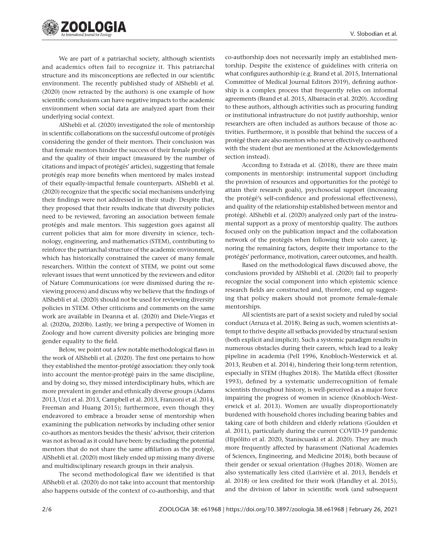

We are part of a patriarchal society, although scientists and academics often fail to recognize it. This patriarchal structure and its misconceptions are reflected in our scientific environment. The recently published study of AlShebli et al. (2020) (now retracted by the authors) is one example of how scientific conclusions can have negative impacts to the academic environment when social data are analyzed apart from their underlying social context.

AlShebli et al. (2020) investigated the role of mentorship in scientific collaborations on the successful outcome of protégés considering the gender of their mentors. Their conclusion was that female mentors hinder the success of their female protégés and the quality of their impact (measured by the number of citations and impact of protégés' articles), suggesting that female protégés reap more benefits when mentored by males instead of their equally-impactful female counterparts. AlShebli et al. (2020) recognize that the specific social mechanisms underlying their findings were not addressed in their study. Despite that, they proposed that their results indicate that diversity policies need to be reviewed, favoring an association between female protégés and male mentors. This suggestion goes against all current policies that aim for more diversity in science, technology, engineering, and mathematics (STEM), contributing to reinforce the patriarchal structure of the academic environment, which has historically constrained the career of many female researchers. Within the context of STEM, we point out some relevant issues that went unnoticed by the reviewers and editor of Nature Communications (or were dismissed during the reviewing process) and discuss why we believe that the findings of AlShebli et al. (2020) should not be used for reviewing diversity policies in STEM. Other criticisms and comments on the same work are available in Deanna et al. (2020) and Diele-Viegas et al. (2020a, 2020b). Lastly, we bring a perspective of Women in Zoology and how current diversity policies are bringing more gender equality to the field.

Below, we point out a few notable methodological flaws in the work of AlShebli et al. (2020). The first one pertains to how they established the mentor-protégé association: they only took into account the mentor-protégé pairs in the same discipline, and by doing so, they missed interdisciplinary hubs, which are more prevalent in gender and ethnically diverse groups (Adams 2013, Uzzi et al. 2013, Campbell et al. 2013, Franzoni et al. 2014, Freeman and Huang 2015); furthermore, even though they endeavored to embrace a broader sense of mentorship when examining the publication networks by including other senior co-authors as mentors besides the thesis' advisor, their criterion was not as broad as it could have been: by excluding the potential mentors that do not share the same affiliation as the protégé, AlShebli et al. (2020) most likely ended up missing many diverse and multidisciplinary research groups in their analysis.

The second methodological flaw we identified is that AlShebli et al. (2020) do not take into account that mentorship also happens outside of the context of co-authorship, and that co-authorship does not necessarily imply an established mentorship. Despite the existence of guidelines with criteria on what configures authorship (e.g. Brand et al. 2015, International Committee of Medical Journal Editors 2019), defining authorship is a complex process that frequently relies on informal agreements (Brand et al. 2015, Albarracín et al. 2020). According to these authors, although activities such as procuring funding or institutional infrastructure do not justify authorship, senior researchers are often included as authors because of those activities. Furthermore, it is possible that behind the success of a protégé there are also mentors who never effectively co-authored with the student (but are mentioned at the Acknowledgements section instead).

According to Estrada et al. (2018), there are three main components in mentorship: instrumental support (including the provision of resources and opportunities for the protégé to attain their research goals), psychosocial support (increasing the protégé's self-confidence and professional effectiveness), and quality of the relationship established between mentor and protégé. AlShebli et al. (2020) analyzed only part of the instrumental support as a proxy of mentorship quality. The authors focused only on the publication impact and the collaboration network of the protégés when following their solo career, ignoring the remaining factors, despite their importance to the protégés' performance, motivation, career outcomes, and health.

Based on the methodological flaws discussed above, the conclusions provided by AlShebli et al. (2020) fail to properly recognize the social component into which epistemic science research fields are constructed and, therefore, end up suggesting that policy makers should not promote female-female mentorships.

All scientists are part of a sexist society and ruled by social conduct (Arruza et al. 2018). Being as such, women scientists attempt to thrive despite all setbacks provided by structural sexism (both explicit and implicit). Such a systemic paradigm results in numerous obstacles during their careers, which lead to a leaky pipeline in academia (Pell 1996, Knobloch-Westerwick et al. 2013, Reuben et al. 2014), hindering their long-term retention, especially in STEM (Hughes 2018). The Matilda effect (Rossiter 1993), defined by a systematic underrecognition of female scientists throughout history, is well-perceived as a major force impairing the progress of women in science (Knobloch-Westerwick et al. 2013). Women are usually disproportionately burdened with household chores including bearing babies and taking care of both children and elderly relations (Goulden et al. 2011), particularly during the current COVID-19 pandemic (Hipólito et al. 2020, Staniscuaski et al. 2020). They are much more frequently affected by harassment (National Academies of Sciences, Engineering, and Medicine 2018), both because of their gender or sexual orientation (Hughes 2018). Women are also systematically less cited (Larivière et al. 2013, Bendels et al. 2018) or less credited for their work (Handley et al. 2015), and the division of labor in scientific work (and subsequent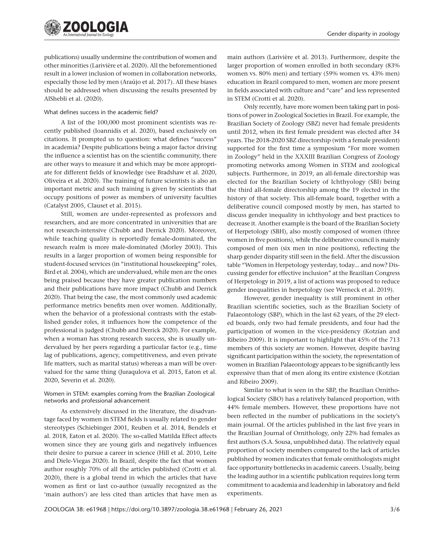

publications) usually undermine the contribution of women and other minorities (Larivière et al. 2020). All the beforementioned result in a lower inclusion of women in collaboration networks, especially those led by men (Araújo et al. 2017). All these biases should be addressed when discussing the results presented by AlShebli et al. (2020).

#### What defines success in the academic field?

A list of the 100,000 most prominent scientists was recently published (Ioannidis et al. 2020), based exclusively on citations. It prompted us to question: what defines "success" in academia? Despite publications being a major factor driving the influence a scientist has on the scientific community, there are other ways to measure it and which may be more appropriate for different fields of knowledge (see Bradshaw et al. 2020, Oliveira et al. 2020). The training of future scientists is also an important metric and such training is given by scientists that occupy positions of power as members of university faculties (Catalyst 2005, Clauset et al. 2015).

Still, women are under-represented as professors and researchers, and are more concentrated in universities that are not research-intensive (Chubb and Derrick 2020). Moreover, while teaching quality is reportedly female-dominated, the research realm is more male-dominated (Morley 2003). This results in a larger proportion of women being responsible for student-focused services (in "institutional housekeeping" roles, Bird et al. 2004), which are undervalued, while men are the ones being praised because they have greater publication numbers and their publications have more impact (Chubb and Derrick 2020). That being the case, the most commonly used academic performance metrics benefits men over women. Additionally, when the behavior of a professional contrasts with the established gender roles, it influences how the competence of the professional is judged (Chubb and Derrick 2020). For example, when a woman has strong research success, she is usually undervalued by her peers regarding a particular factor (e.g., time lag of publications, agency, competitiveness, and even private life matters, such as marital status) whereas a man will be overvalued for the same thing (Juraqulova et al. 2015, Eaton et al. 2020, Severin et al. 2020).

#### Women in STEM: examples coming from the Brazilian Zoological networks and professional advancement

As extensively discussed in the literature, the disadvantage faced by women in STEM fields is usually related to gender stereotypes (Schiebinger 2001, Reuben et al. 2014, Bendels et al. 2018, Eaton et al. 2020). The so-called Matilda Effect affects women since they are young girls and negatively influences their desire to pursue a career in science (Hill et al. 2010, Leite and Diele-Viegas 2020). In Brazil, despite the fact that women author roughly 70% of all the articles published (Crotti et al. 2020), there is a global trend in which the articles that have women as first or last co-author (usually recognized as the 'main authors') are less cited than articles that have men as

main authors (Larivière et al. 2013). Furthermore, despite the larger proportion of women enrolled in both secondary (83% women vs. 80% men) and tertiary (59% women vs. 43% men) education in Brazil compared to men, women are more present in fields associated with culture and "care" and less represented in STEM (Crotti et al. 2020).

Only recently, have more women been taking part in positions of power in Zoological Societies in Brazil. For example, the Brazilian Society of Zoology (SBZ) never had female presidents until 2012, when its first female president was elected after 34 years. The 2018-2020 SBZ directorship (with a female president) supported for the first time a symposium "For more women in Zoology" held in the XXXIII Brazilian Congress of Zoology promoting networks among Women in STEM and zoological subjects. Furthermore, in 2019, an all-female directorship was elected for the Brazilian Society of Ichthyology (SBI) being the third all-female directorship among the 19 elected in the history of that society. This all-female board, together with a deliberative council composed mostly by men, has started to discuss gender inequality in ichthyology and best practices to decrease it. Another example is the board of the Brazilian Society of Herpetology (SBH), also mostly composed of women (three women in five positions), while the deliberative council is mainly composed of men (six men in nine positions), reflecting the sharp gender disparity still seen in the field. After the discussion table "Women in Herpetology yesterday, today... and now? Discussing gender for effective inclusion" at the Brazilian Congress of Herpetology in 2019, a list of actions was proposed to reduce gender inequalities in herpetology (see Werneck et al. 2019).

However, gender inequality is still prominent in other Brazilian scientific societies, such as the Brazilian Society of Palaeontology (SBP), which in the last 62 years, of the 29 elected boards, only two had female presidents, and four had the participation of women in the vice-presidency (Kotzian and Ribeiro 2009). It is important to highlight that 45% of the 713 members of this society are women. However, despite having significant participation within the society, the representation of women in Brazilian Palaeontology appears to be significantly less expressive than that of men along its entire existence (Kotzian and Ribeiro 2009).

Similar to what is seen in the SBP, the Brazilian Ornithological Society (SBO) has a relatively balanced proportion, with 44% female members. However, these proportions have not been reflected in the number of publications in the society's main journal. Of the articles published in the last five years in the Brazilian Journal of Ornithology, only 22% had females as first authors (S.A. Sousa, unpublished data). The relatively equal proportion of society members compared to the lack of articles published by women indicates that female ornithologists might face opportunity bottlenecks in academic careers. Usually, being the leading author in a scientific publication requires long term commitment to academia and leadership in laboratory and field experiments.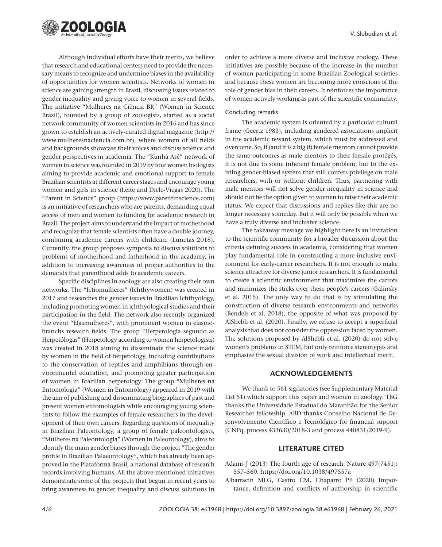

Although individual efforts have their merits, we believe that research and educational centers need to provide the necessary means to recognize and undermine biases in the availability of opportunities for women scientists. Networks of women in science are gaining strength in Brazil, discussing issues related to gender inequality and giving voice to women in several fields. The initiative "Mulheres na Ciência BR" (Women in Science Brazil), founded by a group of zoologists, started as a social network community of women scientists in 2016 and has since grown to establish an actively-curated digital magazine ([http://](http://www.mulheresnaciencia.com.br) [www.mulheresnaciencia.com.br](http://www.mulheresnaciencia.com.br)), where women of all fields and backgrounds showcase their voices and discuss science and gender perspectives in academia. The "Kunhã Asé" network of women in science was founded in 2019 by four women biologists aiming to provide academic and emotional support to female Brazilian scientists at different career stages and encourage young women and girls in science (Leite and Diele-Viegas 2020). The "Parent in Science" group (<https://www.parentinscience.com>) is an initiative of researchers who are parents, demanding equal access of men and women to funding for academic research in Brazil. The project aims to understand the impact of motherhood and recognize that female scientists often have a double journey, combining academic careers with childcare (Lunetas 2018). Currently, the group proposes symposia to discuss solutions to problems of motherhood and fatherhood in the academy, in addition to increasing awareness of proper authorities to the demands that parenthood adds to academic careers.

Specific disciplines in zoology are also creating their own networks. The "Ictiomulheres" (Ichthywomen) was created in 2017 and researches the gender issues in Brazilian Ichthyology, including promoting women in ichthyological studies and their participation in the field. The network also recently organized the event "Elasmulheres", with prominent women in elasmobranchs research fields. The group "Herpetologia segundo as Herpetólogas" (Herpetology according to women herpetologists) was created in 2018 aiming to disseminate the science made by women in the field of herpetology, including contributions to the conservation of reptiles and amphibians through environmental education, and promoting greater participation of women in Brazilian herpetology. The group "Mulheres na Entomologia" (Women in Entomology) appeared in 2019 with the aim of publishing and disseminating biographies of past and present women entomologists while encouraging young scientists to follow the examples of female researchers in the development of their own careers. Regarding questions of inequality in Brazilian Paleontology, a group of female paleontologists, "Mulheres na Paleontologia" (Women in Paleontology), aims to identify the main gender biases through the project "The gender profile in Brazilian Palaeontology", which has already been approved in the Plataforma Brasil, a national database of research records involving humans. All the above-mentioned initiatives demonstrate some of the projects that begun in recent years to bring awareness to gender inequality and discuss solutions in

order to achieve a more diverse and inclusive zoology. These initiatives are possible because of the increase in the number of women participating in some Brazilian Zoological societies and because these women are becoming more conscious of the role of gender bias in their careers. It reinforces the importance of women actively working as part of the scientific community.

#### Concluding remarks

The academic system is oriented by a particular cultural frame (Geertz 1983), including gendered associations implicit in the academic reward system, which must be addressed and overcome. So, if (and it is a big if) female mentors cannot provide the same outcomes as male mentors to their female protégés, it is not due to some inherent female problem, but to the existing gender-biased system that still confers privilege on male researchers, with or without children. Thus, partnering with male mentors will not solve gender inequality in science and should not be the option given to women to raise their academic status. We expect that discussions and replies like this are no longer necessary someday. But it will only be possible when we have a truly diverse and inclusive science.

The takeaway message we highlight here is an invitation to the scientific community for a broader discussion about the criteria defining success in academia, considering that women play fundamental role in constructing a more inclusive environment for early-career researchers. It is not enough to make science attractive for diverse junior researchers. It is fundamental to create a scientific environment that maximizes the carrots and minimizes the sticks over these people's careers (Galinsky et al. 2015). The only way to do that is by stimulating the construction of diverse research environments and networks (Bendels et al. 2018), the opposite of what was proposed by AlShebli et al. (2020). Finally, we refuse to accept a superficial analysis that does not consider the oppression faced by women. The solutions proposed by AlShebli et al. (2020) do not solve women's problems in STEM, but only reinforce stereotypes and emphasize the sexual division of work and intellectual merit.

### **ACKNOWLEDGEMENTS**

We thank to 561 signatories (see Supplementary Material List S1) which support this paper and women in zoology. TBG thanks the Universidade Estadual do Maranhão for the Senior Researcher fellowship. ABD thanks Conselho Nacional de Desenvolvimento Científico e Tecnológico for financial support (CNPq, process 433630/2018-3 and process 440831/2019-9).

#### **LITERATURE CITED**

- Adams J (2013) The fourth age of research. Nature 497(7451): 557–560. <https://doi.org/10.1038/497557a>
- Albarracín MLG, Castro CM, Chaparro PE (2020) Importance, definition and conflicts of authorship in scientific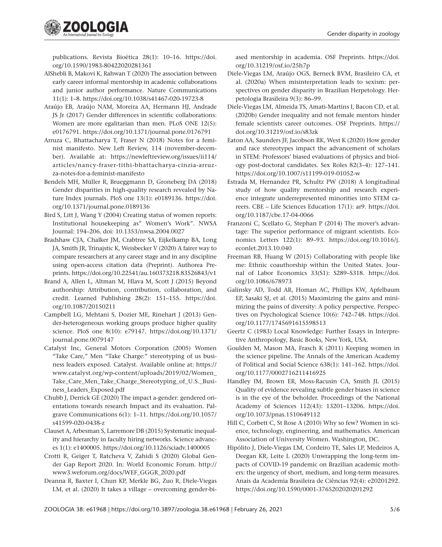

publications. Revista Bioética 28(1): 10–16. [https://doi.](https://doi.org/10.1590/1983-80422020281361) [org/10.1590/1983-80422020281361](https://doi.org/10.1590/1983-80422020281361)

- AlShebli B, Makovi K, Rahwan T (2020) The association between early career informal mentorship in academic collaborations and junior author performance. Nature Communications 11(1): 1–8. <https://doi.org/10.1038/s41467-020-19723-8>
- Araújo EB, Araújo NAM, Moreira AA, Hermann HJ, Andrade JS Jr (2017) Gender differences in scientific collaborations: Women are more egalitarian than men. PLoS ONE 12(5): e0176791. <https://doi.org/10.1371/journal.pone.0176791>
- Arruza C, Bhattacharya T, Fraser N (2018) Notes for a feminist manifesto. New Left Review, 114 (november-december). Available at: [https://newleftreview.org/issues/ii114/](https://newleftreview.org/issues/ii114/articles/nancy-fraser-tithi-bhattacharya-cinzia-arruzza-notes-for-a-feminist-manifesto) [articles/nancy-fraser-tithi-bhattacharya-cinzia-arruz](https://newleftreview.org/issues/ii114/articles/nancy-fraser-tithi-bhattacharya-cinzia-arruzza-notes-for-a-feminist-manifesto)[za-notes-for-a-feminist-manifesto](https://newleftreview.org/issues/ii114/articles/nancy-fraser-tithi-bhattacharya-cinzia-arruzza-notes-for-a-feminist-manifesto)
- Bendels MH, Müller R, Brueggmann D, Groneberg DA (2018) Gender disparities in high-quality research revealed by Nature Index journals. PloS one 13(1): e0189136. [https://doi.](https://doi.org/10.1371/journal.pone.0189136) [org/10.1371/journal.pone.0189136](https://doi.org/10.1371/journal.pone.0189136)
- Bird S, Litt J, Wang Y (2004) Creating status of women reports: Institutional housekeeping as" Women's Work". NWSA Journal: 194–206. doi: 10.1353/nwsa.2004.0027
- Bradshaw CJA, Chalker JM, Crabtree SA, Eijkelkamp BA, Long JA, Smith JR, Trinajstic K, Weisbecker V (2020) A fairer way to compare researchers at any career stage and in any discipline using open-access citation data (Preprint). Authorea Preprints. <https://doi.org/10.22541/au.160373218.83526843/v1>
- Brand A, Allen L, Altman M, Hlava M, Scott J (2015) Beyond authorship: Attribution, contribution, collaboration, and credit. Learned Publishing 28(2): 151–155. [https://doi.](https://doi.org/10.1087/20150211) [org/10.1087/20150211](https://doi.org/10.1087/20150211)
- Campbell LG, Mehtani S, Dozier ME, Rinehart J (2013) Gender-heterogeneous working groups produce higher quality science. PloS one 8(10): e79147. [https://doi.org/10.1371/](https://doi.org/10.1371/journal.pone.0079147) [journal.pone.0079147](https://doi.org/10.1371/journal.pone.0079147)
- Catalyst Inc, General Motors Corporation (2005) Women "Take Care," Men "Take Charge:" stereotyping of us business leaders exposed. Catalyst. Available online at: [https://](https://www.catalyst.org/wp-content/uploads/2019/02/Women_Take_Care_Men_Take_Charge_Stereotyping_of_U.S._Business_Leaders_Exposed.pdf) [www.catalyst.org/wp-content/uploads/2019/02/Women\\_](https://www.catalyst.org/wp-content/uploads/2019/02/Women_Take_Care_Men_Take_Charge_Stereotyping_of_U.S._Business_Leaders_Exposed.pdf) [Take\\_Care\\_Men\\_Take\\_Charge\\_Stereotyping\\_of\\_U.S.\\_Busi](https://www.catalyst.org/wp-content/uploads/2019/02/Women_Take_Care_Men_Take_Charge_Stereotyping_of_U.S._Business_Leaders_Exposed.pdf)[ness\\_Leaders\\_Exposed.pdf](https://www.catalyst.org/wp-content/uploads/2019/02/Women_Take_Care_Men_Take_Charge_Stereotyping_of_U.S._Business_Leaders_Exposed.pdf)
- Chubb J, Derrick GE (2020) The impact a-gender: gendered orientations towards research Impact and its evaluation. Palgrave Communications 6(1): 1–11. [https://doi.org/10.1057/](https://doi.org/10.1057/s41599-020-0438-z) [s41599-020-0438-z](https://doi.org/10.1057/s41599-020-0438-z)
- Clauset A, Arbesman S, Larremore DB (2015) Systematic inequality and hierarchy in faculty hiring networks. Science advances 1(1): e1400005.<https://doi.org/10.1126/sciadv.1400005>
- Crotti R, Geiger T, Ratcheva V, Zahidi S (2020) Global Gender Gap Report 2020. In: World Economic Forum. [http://](http://www3.weforum.org/docs/WEF_GGGR_2020.pdf) [www3.weforum.org/docs/WEF\\_GGGR\\_2020.pdf](http://www3.weforum.org/docs/WEF_GGGR_2020.pdf)
- Deanna R, Baxter I, Chun KP, Merkle BG, Zuo R, Diele-Viegas LM, et al. (2020) It takes a village – overcoming gender-bi-

ased mentorship in academia. OSF Preprints. [https://doi.](https://doi.org/10.31219/osf.io/25h7p) [org/10.31219/osf.io/25h7p](https://doi.org/10.31219/osf.io/25h7p)

- Diele-Viegas LM, Araújo OGS, Berneck BVM, Brasileiro CA, et al. (2020a) When misinterpretation leads to sexism: perspectives on gender disparity in Brazilian Herpetology. Herpetologia Brasileira 9(3): 86–99.
- Diele-Viegas LM, Almeida TS, Amati-Martins I, Bacon CD, et al. (2020b) Gender inequality and not female mentors hinder female scientists career outcomes. OSF Preprints. [https://](https://doi.org/10.31219/osf.io/s83zk) [doi.org/10.31219/osf.io/s83zk](https://doi.org/10.31219/osf.io/s83zk)
- Eaton AA, Saunders JF, Jacobson RK, West K (2020) How gender and race stereotypes impact the advancement of scholars in STEM: Professors' biased evaluations of physics and biology post-doctoral candidates. Sex Roles 82(3–4): 127–141. <https://doi.org/10.1007/s11199-019-01052-w>
- Estrada M, Hernandez PR, Schultz PW (2018) A longitudinal study of how quality mentorship and research experience integrate underrepresented minorities into STEM careers. CBE – Life Sciences Education 17(1): ar9. [https://doi.](https://doi.org/10.1187/cbe.17-04-0066) [org/10.1187/cbe.17-04-0066](https://doi.org/10.1187/cbe.17-04-0066)
- Franzoni C, Scellato G, Stephan P (2014) The mover's advantage: The superior performance of migrant scientists. Economics Letters 122(1): 89–93. [https://doi.org/10.1016/j.](https://doi.org/10.1016/j.econlet.2013.10.040) [econlet.2013.10.040](https://doi.org/10.1016/j.econlet.2013.10.040)
- Freeman RB, Huang W (2015) Collaborating with people like me: Ethnic coauthorship within the United States. Journal of Labor Economics 33(S1): S289–S318. [https://doi.](https://doi.org/10.1086/678973) [org/10.1086/678973](https://doi.org/10.1086/678973)
- Galinsky AD, Todd AR, Homan AC, Phillips KW, Apfelbaum EP, Sasaki SJ, et al. (2015) Maximizing the gains and minimizing the pains of diversity: A policy perspective. Perspectives on Psychological Science 10(6): 742–748. [https://doi.](https://doi.org/10.1177/1745691615598513) [org/10.1177/1745691615598513](https://doi.org/10.1177/1745691615598513)
- Geertz C (1983) Local Knowledge: Further Essays in Interpretive Anthropology, Basic Books, New York, USA.
- Goulden M, Mason MA, Frasch K (2011) Keeping women in the science pipeline. The Annals of the American Academy of Political and Social Science 638(1): 141–162. [https://doi.](https://doi.org/10.1177/0002716211416925) [org/10.1177/0002716211416925](https://doi.org/10.1177/0002716211416925)
- Handley IM, Brown ER, Moss-Racusin CA, Smith JL (2015) Quality of evidence revealing subtle gender biases in science is in the eye of the beholder. Proceedings of the National Academy of Sciences 112(43): 13201–13206. [https://doi.](https://doi.org/10.1073/pnas.1510649112) [org/10.1073/pnas.1510649112](https://doi.org/10.1073/pnas.1510649112)
- Hill C, Corbett C, St Rose A (2010) Why so few? Women in science, technology, engineering, and mathematics. American Association of University Women. Washington, DC.
- Hipólito J, Diele-Viegas LM, Cordeiro TE, Sales LP, Medeiros A, Deegan KR, Leite L (2020) Unwrapping the long-term impacts of COVID-19 pandemic on Brazilian academic mothers: the urgency of short, medium, and long-term measures. Anais da Academia Brasileira de Ciências 92(4): e20201292. <https://doi.org/10.1590/0001-3765202020201292>